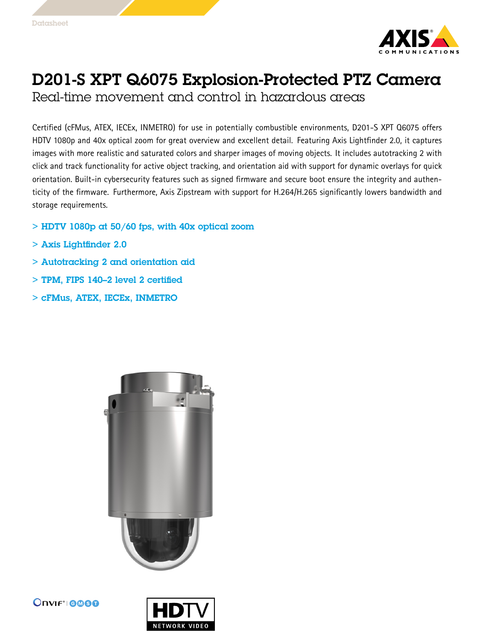

## D201-S XPT Q6075 Explosion-Protected PTZ Camera

Real-time movement and control in hazardous areas

Certified (cFMus, ATEX, IECEx, INMETRO) for use in potentially combustible environments, D201-S XPT Q6075 offers HDTV 1080p and 40x optical zoom for great overview and excellent detail. Featuring Axis Lightfinder 2.0, it captures images with more realistic and saturated colors and sharper images of moving objects. It includes autotracking 2 with click and track functionality for active object tracking, and orientation aid with support for dynamic overlays for quick orientation. Built-in cybersecurity features such as signed firmware and secure boot ensure the integrity and authenticity of the firmware. Furthermore, Axis Zipstream with support for H.264/H.265 significantly lowers bandwidth and storage requirements.

- $>$  HDTV 1080p at 50/60 fps, with 40x optical zoom
- > Axis Lightfinder 2.0
- > Autotracking 2 and orientation aid
- > TPM, FIPS 140–2 level 2 certified
- > cFMus, ATEX, IECEx, INMETRO





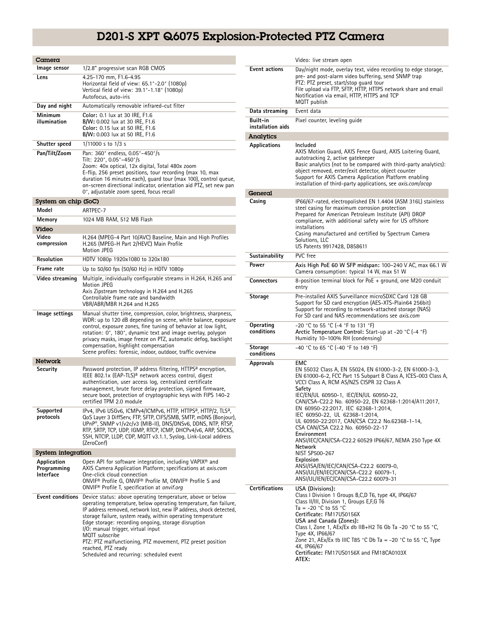## D201-S XPT Q6075 Explosion-Protected PTZ Camera

| Camera                                  |                                                                                                                                                                                                                                                                                                                                                                                                                                                                                                                   |
|-----------------------------------------|-------------------------------------------------------------------------------------------------------------------------------------------------------------------------------------------------------------------------------------------------------------------------------------------------------------------------------------------------------------------------------------------------------------------------------------------------------------------------------------------------------------------|
| Image sensor                            | 1/2.8" progressive scan RGB CMOS                                                                                                                                                                                                                                                                                                                                                                                                                                                                                  |
| Lens                                    | 4.25-170 mm, F1.6-4.95<br>Horizontal field of view: 65.1°-2.0° (1080p)<br>Vertical field of view: 39.1°-1.18° (1080p)<br>Autofocus, auto-iris                                                                                                                                                                                                                                                                                                                                                                     |
| Day and night                           | Automatically removable infrared-cut filter                                                                                                                                                                                                                                                                                                                                                                                                                                                                       |
| Minimum<br>illumination                 | Color: 0.1 lux at 30 IRE, F1.6<br>B/W: 0.002 lux at 30 IRE, F1.6<br>Color: 0.15 lux at 50 IRE, F1.6<br>B/W: 0.003 lux at 50 IRE, F1.6                                                                                                                                                                                                                                                                                                                                                                             |
| Shutter speed                           | 1/11000 s to 1/3 s                                                                                                                                                                                                                                                                                                                                                                                                                                                                                                |
| Pan/Tilt/Zoom                           | Pan: 360° endless, 0.05°-450°/s<br>Tilt: 220°, 0.05°-450°/s<br>Zoom: 40x optical, 12x digital, Total 480x zoom<br>E-flip, 256 preset positions, tour recording (max 10, max<br>duration 16 minutes each), quard tour (max 100), control queue,<br>on-screen directional indicator, orientation aid PTZ, set new pan<br>0°, adjustable zoom speed, focus recall                                                                                                                                                    |
| System on chip (SoC)                    |                                                                                                                                                                                                                                                                                                                                                                                                                                                                                                                   |
| Model                                   | ARTPEC-7                                                                                                                                                                                                                                                                                                                                                                                                                                                                                                          |
| Memory                                  | 1024 MB RAM, 512 MB Flash                                                                                                                                                                                                                                                                                                                                                                                                                                                                                         |
| Video                                   |                                                                                                                                                                                                                                                                                                                                                                                                                                                                                                                   |
| Video<br>compression                    | H.264 (MPEG-4 Part 10/AVC) Baseline, Main and High Profiles<br>H.265 (MPEG-H Part 2/HEVC) Main Profile<br>Motion JPEG                                                                                                                                                                                                                                                                                                                                                                                             |
| Resolution                              | HDTV 1080p 1920x1080 to 320x180                                                                                                                                                                                                                                                                                                                                                                                                                                                                                   |
| Frame rate                              | Up to 50/60 fps (50/60 Hz) in HDTV 1080p                                                                                                                                                                                                                                                                                                                                                                                                                                                                          |
| Video streaming                         | Multiple, individually configurable streams in H.264, H.265 and<br>Motion JPEG<br>Axis Zipstream technology in H.264 and H.265<br>Controllable frame rate and bandwidth<br>VBR/ABR/MBR H.264 and H.265                                                                                                                                                                                                                                                                                                            |
| lmage settings                          | Manual shutter time, compression, color, brightness, sharpness,<br>WDR: up to 120 dB depending on scene, white balance, exposure<br>control, exposure zones, fine tuning of behavior at low light,<br>rotation: 0°, 180°, dynamic text and image overlay, polygon<br>privacy masks, image freeze on PTZ, automatic defog, backlight<br>compensation, highlight compensation<br>Scene profiles: forensic, indoor, outdoor, traffic overview                                                                        |
| Network                                 |                                                                                                                                                                                                                                                                                                                                                                                                                                                                                                                   |
| Security                                | Password protection, IP address filtering, HTTPS <sup>a</sup> encryption,<br>IEEE 802.1x (EAP-TLS) <sup>a</sup> network access control, digest<br>authentication, user access log, centralized certificate<br>management, brute force delay protection, signed firmware,<br>secure boot, protection of cryptographic keys with FIPS 140-2<br>certified TPM 2.0 module                                                                                                                                             |
| Supported<br>protocols                  | IPv4, IPv6 USGv6, ICMPv4/ICMPv6, HTTP, HTTPS <sup>a</sup> , HTTP/2, TLS <sup>a</sup> ,<br>QoS Layer 3 DiffServ, FTP, SFTP, CIFS/SMB, SMTP, mDNS (Bonjour),<br>UPnP®. SNMP v1/v2c/v3 (MIB-II). DNS/DNSv6. DDNS. NTP. RTSP.<br>RTP, SRTP, TCP, UDP, IGMP, RTCP, ICMP, DHCPv4/v6, ARP, SOCKS,<br>SSH, NTCIP, LLDP, CDP, MQTT v3.1.1, Syslog, Link-Local address<br>(ZeroConf)                                                                                                                                        |
| System integration                      |                                                                                                                                                                                                                                                                                                                                                                                                                                                                                                                   |
| Application<br>Programming<br>Interface | Open API for software integration, including VAPIX® and<br>AXIS Camera Application Platform; specifications at <i>axis.com</i><br>One-click cloud connection<br>ONVIF® Profile G, ONVIF® Profile M, ONVIF® Profile S and<br>ONVIF <sup>®</sup> Profile T, specification at onvif.org                                                                                                                                                                                                                              |
| <b>Event conditions</b>                 | Device status: above operating temperature, above or below<br>operating temperature, below operating temperature, fan failure,<br>IP address removed, network lost, new IP address, shock detected,<br>storage failure, system ready, within operating temperature<br>Edge storage: recording ongoing, storage disruption<br>I/O: manual trigger, virtual input<br>MQTT subscribe<br>PTZ: PTZ malfunctioning, PTZ movement, PTZ preset position<br>reached, PTZ ready<br>Scheduled and recurring: scheduled event |

|                               | Video: live stream open                                                                                                                                                                                                                                                                                                                                                                                                                                                                                                                                                                                                                                                                                   |
|-------------------------------|-----------------------------------------------------------------------------------------------------------------------------------------------------------------------------------------------------------------------------------------------------------------------------------------------------------------------------------------------------------------------------------------------------------------------------------------------------------------------------------------------------------------------------------------------------------------------------------------------------------------------------------------------------------------------------------------------------------|
| <b>Event actions</b>          | Day/night mode, overlay text, video recording to edge storage,<br>pre- and post-alarm video buffering, send SNMP trap<br>PTZ: PTZ preset, start/stop quard tour<br>File upload via FTP, SFTP, HTTP, HTTPS network share and email<br>Notification via email, HTTP, HTTPS and TCP<br>MQTT publish                                                                                                                                                                                                                                                                                                                                                                                                          |
| Data streaming                | Event data                                                                                                                                                                                                                                                                                                                                                                                                                                                                                                                                                                                                                                                                                                |
| Built-in<br>installation aids | Pixel counter, leveling guide                                                                                                                                                                                                                                                                                                                                                                                                                                                                                                                                                                                                                                                                             |
| Analytics                     |                                                                                                                                                                                                                                                                                                                                                                                                                                                                                                                                                                                                                                                                                                           |
| Applications                  | Included<br>AXIS Motion Guard, AXIS Fence Guard, AXIS Loitering Guard,<br>autotracking 2, active gatekeeper<br>Basic analytics (not to be compared with third-party analytics):<br>object removed, enter/exit detector, object counter<br>Support for AXIS Camera Application Platform enabling<br>installation of third-party applications, see <i>axis.com/acap</i>                                                                                                                                                                                                                                                                                                                                     |
| General                       |                                                                                                                                                                                                                                                                                                                                                                                                                                                                                                                                                                                                                                                                                                           |
| Casing                        | IP66/67-rated, electropolished EN 1.4404 (ASM 316L) stainless<br>steel casing for maximum corrosion protection<br>Prepared for American Petroleum Institute (API) DROP<br>compliance, with additional safety wire for US offshore<br>installations<br>Casing manufactured and certified by Spectrum Camera<br>Solutions, LLC<br>US Patents 9917428, D858611                                                                                                                                                                                                                                                                                                                                               |
| Sustainability                | PVC free                                                                                                                                                                                                                                                                                                                                                                                                                                                                                                                                                                                                                                                                                                  |
| Power                         | Axis High PoE 60 W SFP midspan: 100-240 V AC, max 66.1 W<br>Camera consumption: typical 14 W, max 51 W                                                                                                                                                                                                                                                                                                                                                                                                                                                                                                                                                                                                    |
| <b>Connectors</b>             | 8-position terminal block for PoE + ground, one M20 conduit<br>entry                                                                                                                                                                                                                                                                                                                                                                                                                                                                                                                                                                                                                                      |
| Storage                       | Pre-installed AXIS Surveillance microSDXC Card 128 GB<br>Support for SD card encryption (AES-XTS-Plain64 256bit)<br>Support for recording to network-attached storage (NAS)<br>For SD card and NAS recommendations see axis.com                                                                                                                                                                                                                                                                                                                                                                                                                                                                           |
| Operating<br>conditions       | -20 °C to 55 °C (-4 °F to 131 °F)<br>Arctic Temperature Control: Start-up at -20 °C (-4 °F)<br>Humidity 10-100% RH (condensing)                                                                                                                                                                                                                                                                                                                                                                                                                                                                                                                                                                           |
| <b>Storage</b><br>conditions  | -40 °C to 65 °C (-40 °F to 149 °F)                                                                                                                                                                                                                                                                                                                                                                                                                                                                                                                                                                                                                                                                        |
| Approvals                     | EMC<br>EN 55032 Class A, EN 55024, EN 61000-3-2, EN 61000-3-3,<br>EN 61000-6-2, FCC Part 15 Subpart B Class A, ICES-003 Class A,<br>VCCI Class A, RCM AS/NZS CISPR 32 Class A<br>Safety<br>IEC/EN/UL 60950-1, IEC/EN/UL 60950-22,<br>CAN/CSA-C22.2 No. 60950-22, EN 62368-1:2014/A11:2017,<br>EN 60950-22:2017, IEC 62368-1:2014,<br>IEC 60950-22, UL 62368-1:2014,<br>UL 60950-22:2017, CAN/CSA C22.2 No.62368-1-14,<br>CSA CAN/CSA C22.2 No. 60950-22-17<br>Environment<br>ANSI/IEC/CAN/CSA-C22.2 60529 IP66/67, NEMA 250 Type 4X<br>Network<br>NIST SP500-267<br>Explosion<br>ANSI/ISA/EN/IEC/CAN/CSA-C22.2 60079-0,<br>ANSI/UL/EN/IEC/CAN/CSA-C22.2 60079-1,<br>ANSI/UL/IEN/EC/CAN/CSA-C22.2 60079-31 |
| <b>Certifications</b>         | USA (Divisions):<br>Class I Division 1 Groups B,C,D T6, type 4X, IP66/67<br>Class II/III, Division 1, Groups E,F,G T6<br>Ta = -20 °C to 55 °C<br>Certificate: FM17US0156X<br>USA and Canada (Zones):<br>Class I, Zone 1, AEx/Ex db IIB+H2 T6 Gb Ta -20 °C to 55 °C,<br>Type 4X, IP66/67<br>Zone 21, AEx/Ex tb IIIC T85 °C Db Ta = -20 °C to 55 °C, Type<br>4X, IP66/67<br>Certificate: FM17US0156X and FM18CA0103X<br>ATEX:                                                                                                                                                                                                                                                                               |